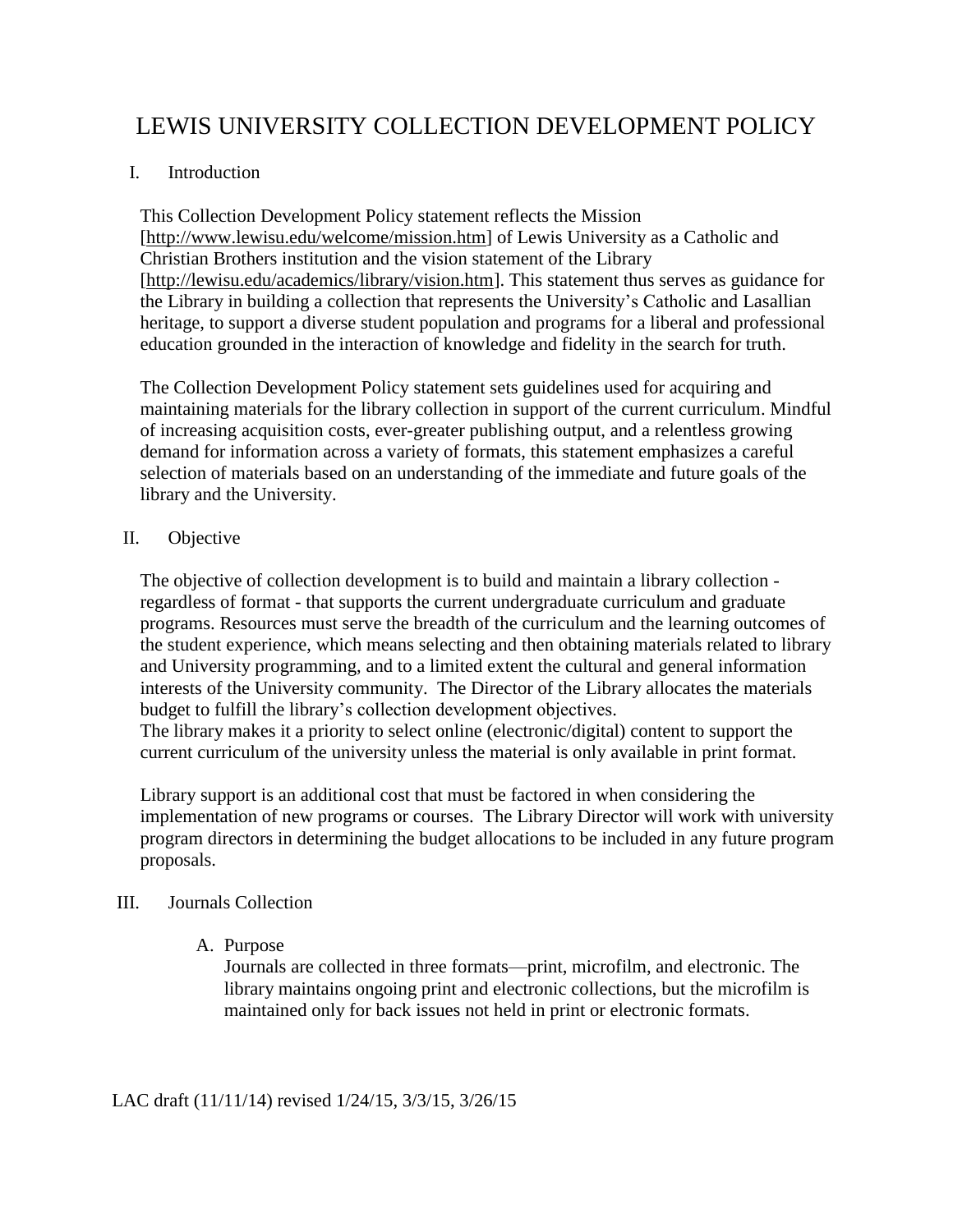# LEWIS UNIVERSITY COLLECTION DEVELOPMENT POLICY

## I. Introduction

This Collection Development Policy statement reflects the Mission [\[http://www.lewisu.edu/welcome/mission.htm\]](http://www.lewisu.edu/welcome/mission.htm) of Lewis University as a Catholic and Christian Brothers institution and the vision statement of the Library [\[http://lewisu.edu/academics/library/vision.htm\]](http://lewisu.edu/academics/library/vision.htm). This statement thus serves as guidance for the Library in building a collection that represents the University's Catholic and Lasallian heritage, to support a diverse student population and programs for a liberal and professional education grounded in the interaction of knowledge and fidelity in the search for truth.

The Collection Development Policy statement sets guidelines used for acquiring and maintaining materials for the library collection in support of the current curriculum. Mindful of increasing acquisition costs, ever-greater publishing output, and a relentless growing demand for information across a variety of formats, this statement emphasizes a careful selection of materials based on an understanding of the immediate and future goals of the library and the University.

## II. Objective

The objective of collection development is to build and maintain a library collection regardless of format - that supports the current undergraduate curriculum and graduate programs. Resources must serve the breadth of the curriculum and the learning outcomes of the student experience, which means selecting and then obtaining materials related to library and University programming, and to a limited extent the cultural and general information interests of the University community. The Director of the Library allocates the materials budget to fulfill the library's collection development objectives.

The library makes it a priority to select online (electronic/digital) content to support the current curriculum of the university unless the material is only available in print format.

Library support is an additional cost that must be factored in when considering the implementation of new programs or courses. The Library Director will work with university program directors in determining the budget allocations to be included in any future program proposals.

## III. Journals Collection

## A. Purpose

Journals are collected in three formats—print, microfilm, and electronic. The library maintains ongoing print and electronic collections, but the microfilm is maintained only for back issues not held in print or electronic formats.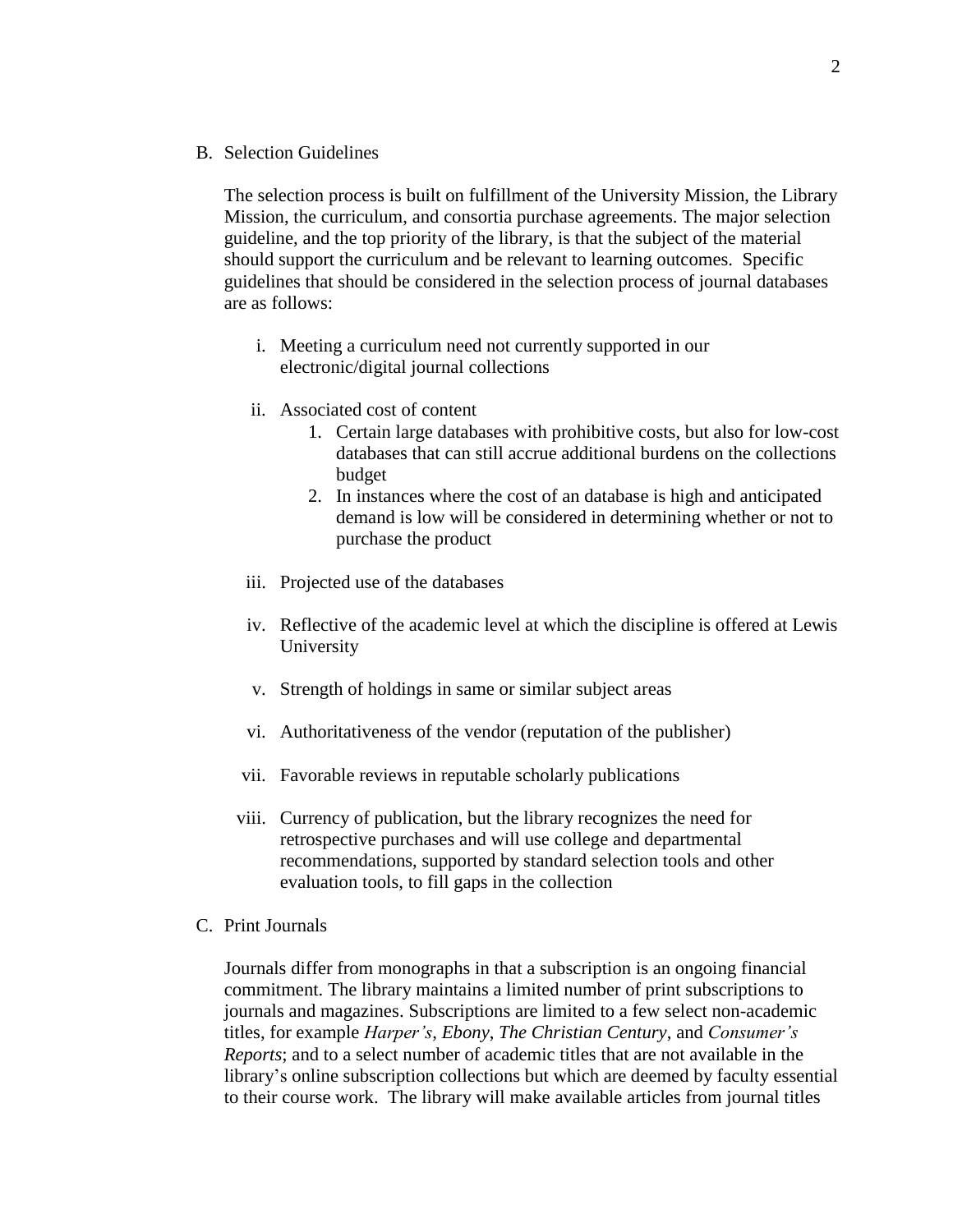B. Selection Guidelines

The selection process is built on fulfillment of the University Mission, the Library Mission, the curriculum, and consortia purchase agreements. The major selection guideline, and the top priority of the library, is that the subject of the material should support the curriculum and be relevant to learning outcomes. Specific guidelines that should be considered in the selection process of journal databases are as follows:

- i. Meeting a curriculum need not currently supported in our electronic/digital journal collections
- ii. Associated cost of content
	- 1. Certain large databases with prohibitive costs, but also for low-cost databases that can still accrue additional burdens on the collections budget
	- 2. In instances where the cost of an database is high and anticipated demand is low will be considered in determining whether or not to purchase the product
- iii. Projected use of the databases
- iv. Reflective of the academic level at which the discipline is offered at Lewis University
- v. Strength of holdings in same or similar subject areas
- vi. Authoritativeness of the vendor (reputation of the publisher)
- vii. Favorable reviews in reputable scholarly publications
- viii. Currency of publication, but the library recognizes the need for retrospective purchases and will use college and departmental recommendations, supported by standard selection tools and other evaluation tools, to fill gaps in the collection
- C. Print Journals

Journals differ from monographs in that a subscription is an ongoing financial commitment. The library maintains a limited number of print subscriptions to journals and magazines. Subscriptions are limited to a few select non-academic titles, for example *Harper's*, *Ebony*, *The Christian Century*, and *Consumer's Reports*; and to a select number of academic titles that are not available in the library's online subscription collections but which are deemed by faculty essential to their course work. The library will make available articles from journal titles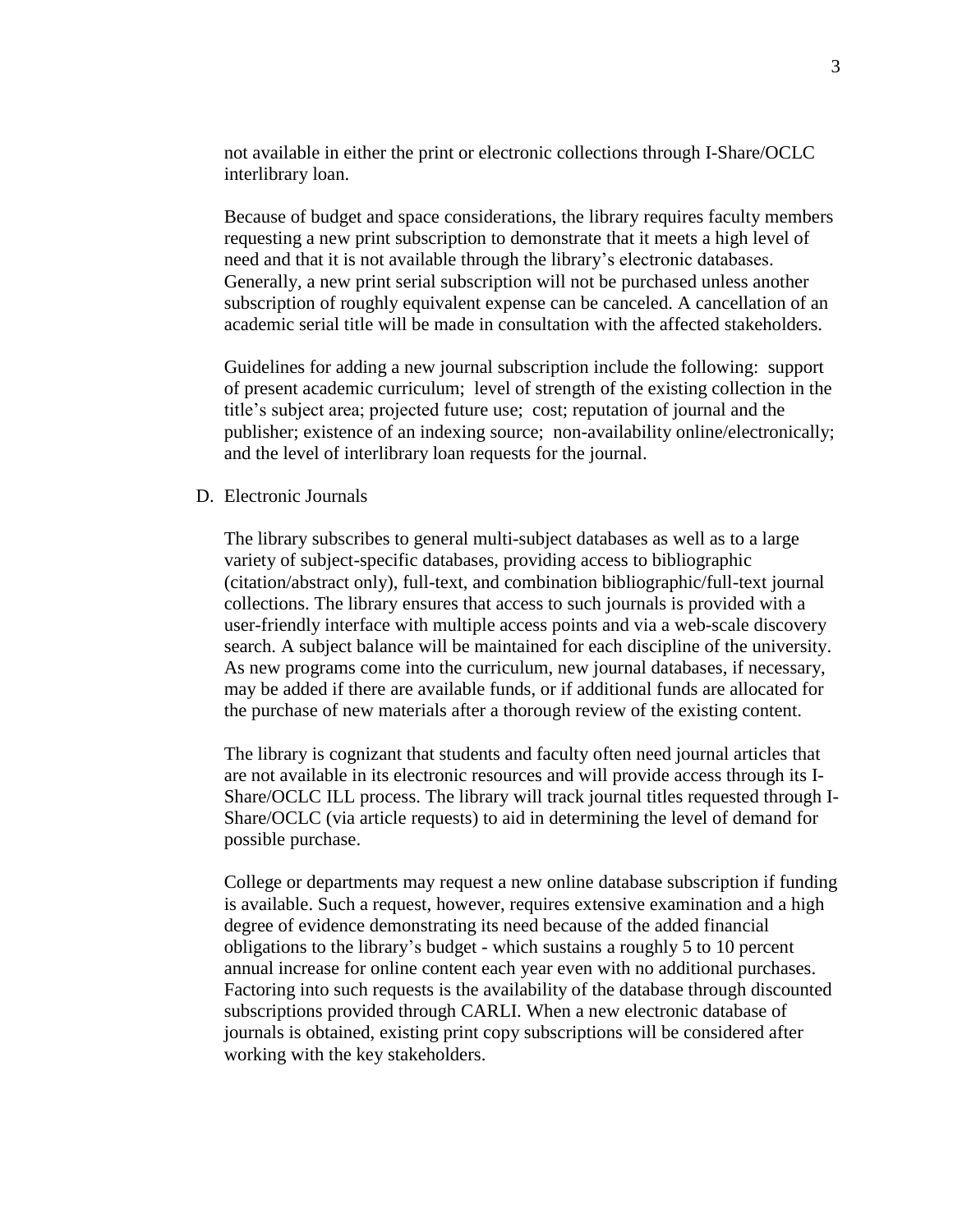not available in either the print or electronic collections through I-Share/OCLC interlibrary loan.

Because of budget and space considerations, the library requires faculty members requesting a new print subscription to demonstrate that it meets a high level of need and that it is not available through the library's electronic databases. Generally, a new print serial subscription will not be purchased unless another subscription of roughly equivalent expense can be canceled. A cancellation of an academic serial title will be made in consultation with the affected stakeholders.

Guidelines for adding a new journal subscription include the following: support of present academic curriculum; level of strength of the existing collection in the title's subject area; projected future use; cost; reputation of journal and the publisher; existence of an indexing source; non-availability online/electronically; and the level of interlibrary loan requests for the journal.

D. Electronic Journals

The library subscribes to general multi-subject databases as well as to a large variety of subject-specific databases, providing access to bibliographic (citation/abstract only), full-text, and combination bibliographic/full-text journal collections. The library ensures that access to such journals is provided with a user-friendly interface with multiple access points and via a web-scale discovery search. A subject balance will be maintained for each discipline of the university. As new programs come into the curriculum, new journal databases, if necessary, may be added if there are available funds, or if additional funds are allocated for the purchase of new materials after a thorough review of the existing content.

The library is cognizant that students and faculty often need journal articles that are not available in its electronic resources and will provide access through its I-Share/OCLC ILL process. The library will track journal titles requested through I-Share/OCLC (via article requests) to aid in determining the level of demand for possible purchase.

College or departments may request a new online database subscription if funding is available. Such a request, however, requires extensive examination and a high degree of evidence demonstrating its need because of the added financial obligations to the library's budget - which sustains a roughly 5 to 10 percent annual increase for online content each year even with no additional purchases. Factoring into such requests is the availability of the database through discounted subscriptions provided through CARLI. When a new electronic database of journals is obtained, existing print copy subscriptions will be considered after working with the key stakeholders.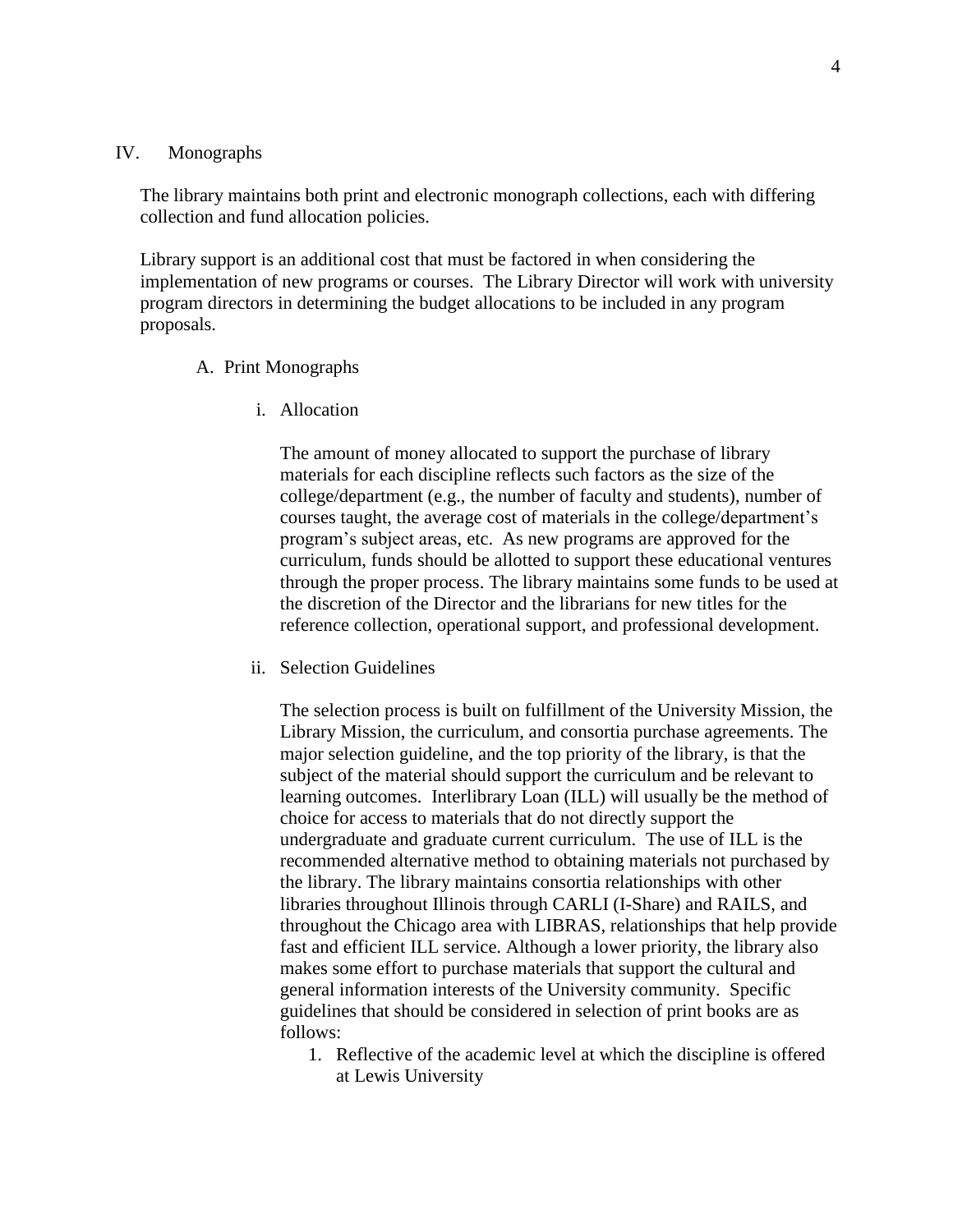#### IV. Monographs

The library maintains both print and electronic monograph collections, each with differing collection and fund allocation policies.

Library support is an additional cost that must be factored in when considering the implementation of new programs or courses. The Library Director will work with university program directors in determining the budget allocations to be included in any program proposals.

#### A. Print Monographs

i. Allocation

The amount of money allocated to support the purchase of library materials for each discipline reflects such factors as the size of the college/department (e.g., the number of faculty and students), number of courses taught, the average cost of materials in the college/department's program's subject areas, etc. As new programs are approved for the curriculum, funds should be allotted to support these educational ventures through the proper process. The library maintains some funds to be used at the discretion of the Director and the librarians for new titles for the reference collection, operational support, and professional development.

ii. Selection Guidelines

The selection process is built on fulfillment of the University Mission, the Library Mission, the curriculum, and consortia purchase agreements. The major selection guideline, and the top priority of the library, is that the subject of the material should support the curriculum and be relevant to learning outcomes. Interlibrary Loan (ILL) will usually be the method of choice for access to materials that do not directly support the undergraduate and graduate current curriculum. The use of ILL is the recommended alternative method to obtaining materials not purchased by the library. The library maintains consortia relationships with other libraries throughout Illinois through CARLI (I-Share) and RAILS, and throughout the Chicago area with LIBRAS, relationships that help provide fast and efficient ILL service. Although a lower priority, the library also makes some effort to purchase materials that support the cultural and general information interests of the University community. Specific guidelines that should be considered in selection of print books are as follows:

1. Reflective of the academic level at which the discipline is offered at Lewis University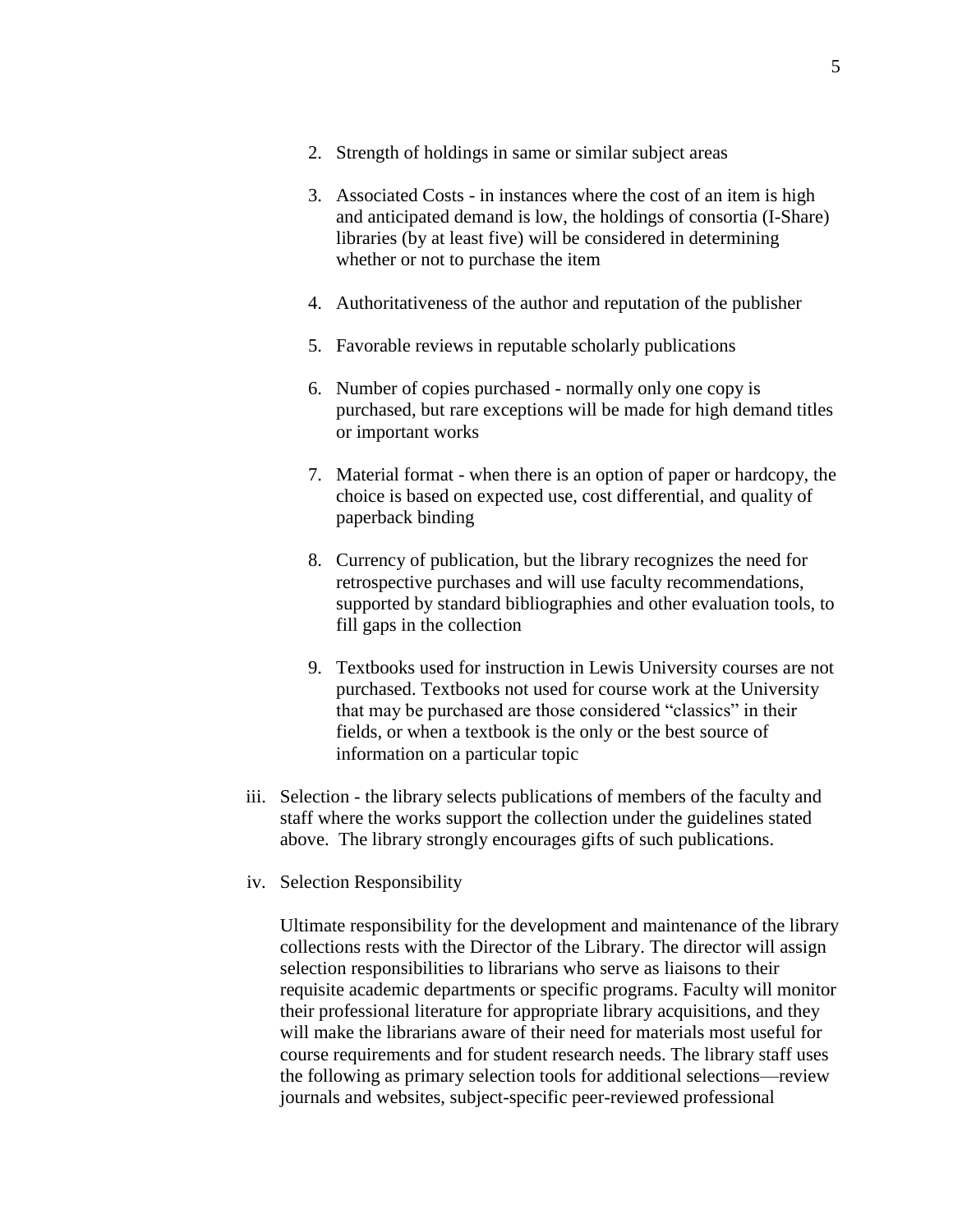- 2. Strength of holdings in same or similar subject areas
- 3. Associated Costs in instances where the cost of an item is high and anticipated demand is low, the holdings of consortia (I-Share) libraries (by at least five) will be considered in determining whether or not to purchase the item
- 4. Authoritativeness of the author and reputation of the publisher
- 5. Favorable reviews in reputable scholarly publications
- 6. Number of copies purchased normally only one copy is purchased, but rare exceptions will be made for high demand titles or important works
- 7. Material format when there is an option of paper or hardcopy, the choice is based on expected use, cost differential, and quality of paperback binding
- 8. Currency of publication, but the library recognizes the need for retrospective purchases and will use faculty recommendations, supported by standard bibliographies and other evaluation tools, to fill gaps in the collection
- 9. Textbooks used for instruction in Lewis University courses are not purchased. Textbooks not used for course work at the University that may be purchased are those considered "classics" in their fields, or when a textbook is the only or the best source of information on a particular topic
- iii. Selection the library selects publications of members of the faculty and staff where the works support the collection under the guidelines stated above. The library strongly encourages gifts of such publications.
- iv. Selection Responsibility

Ultimate responsibility for the development and maintenance of the library collections rests with the Director of the Library. The director will assign selection responsibilities to librarians who serve as liaisons to their requisite academic departments or specific programs. Faculty will monitor their professional literature for appropriate library acquisitions, and they will make the librarians aware of their need for materials most useful for course requirements and for student research needs. The library staff uses the following as primary selection tools for additional selections—review journals and websites, subject-specific peer-reviewed professional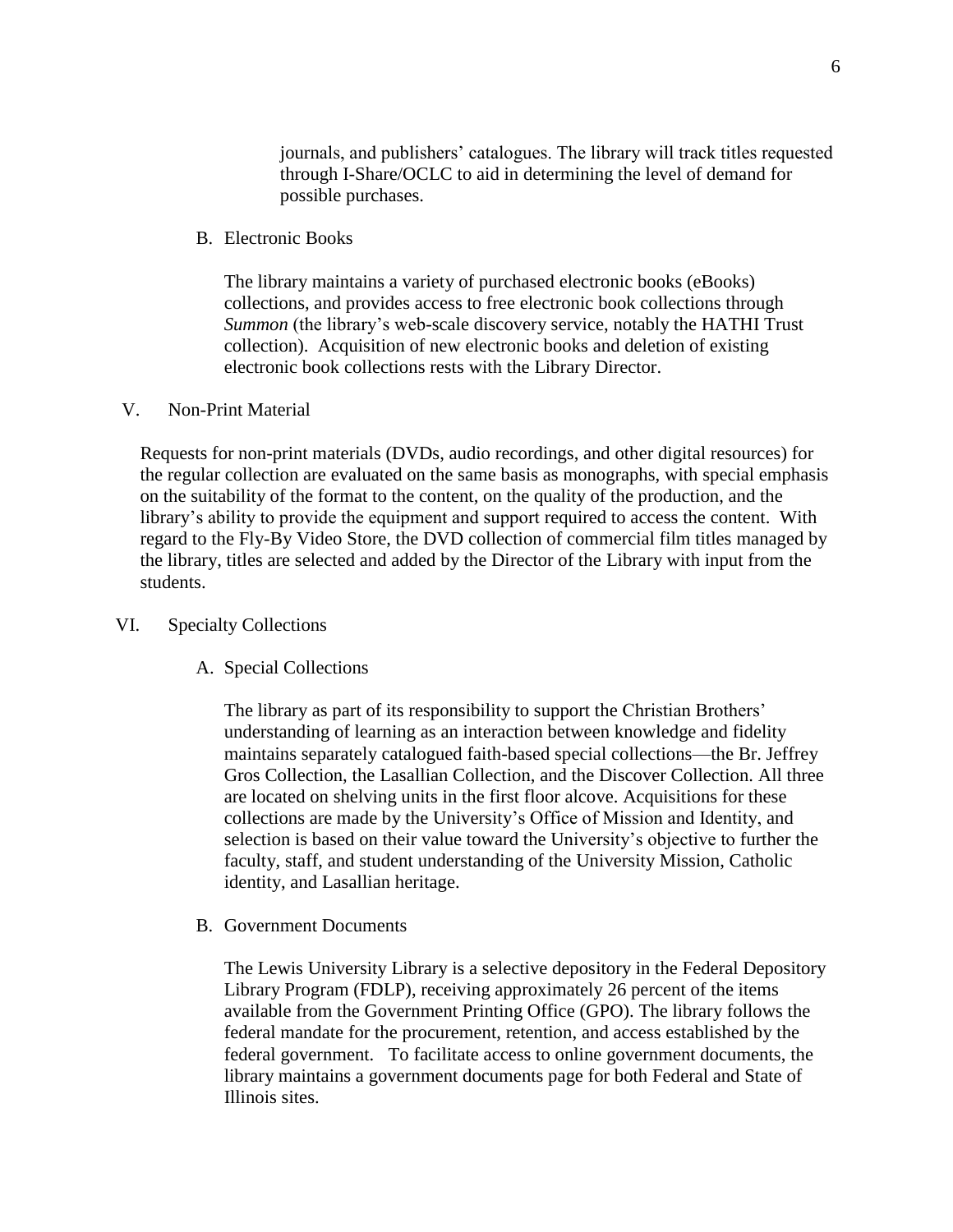journals, and publishers' catalogues. The library will track titles requested through I-Share/OCLC to aid in determining the level of demand for possible purchases.

B. Electronic Books

The library maintains a variety of purchased electronic books (eBooks) collections, and provides access to free electronic book collections through *Summon* (the library's web-scale discovery service, notably the HATHI Trust collection). Acquisition of new electronic books and deletion of existing electronic book collections rests with the Library Director.

#### V. Non-Print Material

Requests for non-print materials (DVDs, audio recordings, and other digital resources) for the regular collection are evaluated on the same basis as monographs, with special emphasis on the suitability of the format to the content, on the quality of the production, and the library's ability to provide the equipment and support required to access the content. With regard to the Fly-By Video Store, the DVD collection of commercial film titles managed by the library, titles are selected and added by the Director of the Library with input from the students.

### VI. Specialty Collections

A. Special Collections

The library as part of its responsibility to support the Christian Brothers' understanding of learning as an interaction between knowledge and fidelity maintains separately catalogued faith-based special collections—the Br. Jeffrey Gros Collection, the Lasallian Collection, and the Discover Collection. All three are located on shelving units in the first floor alcove. Acquisitions for these collections are made by the University's Office of Mission and Identity, and selection is based on their value toward the University's objective to further the faculty, staff, and student understanding of the University Mission, Catholic identity, and Lasallian heritage.

B. Government Documents

The Lewis University Library is a selective depository in the Federal Depository Library Program (FDLP), receiving approximately 26 percent of the items available from the Government Printing Office (GPO). The library follows the federal mandate for the procurement, retention, and access established by the federal government. To facilitate access to online government documents, the library maintains a government documents page for both Federal and State of Illinois sites.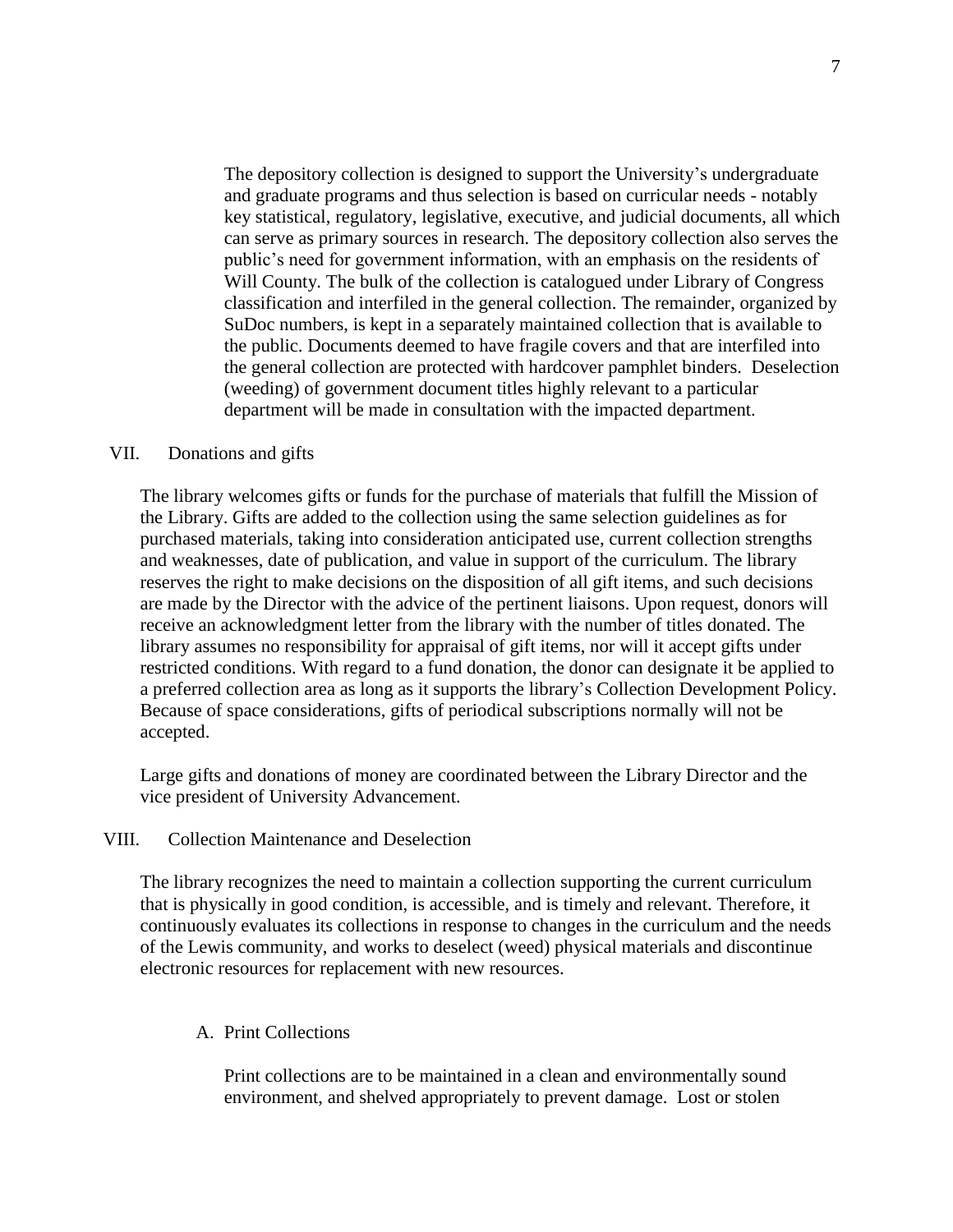The depository collection is designed to support the University's undergraduate and graduate programs and thus selection is based on curricular needs - notably key statistical, regulatory, legislative, executive, and judicial documents, all which can serve as primary sources in research. The depository collection also serves the public's need for government information, with an emphasis on the residents of Will County. The bulk of the collection is catalogued under Library of Congress classification and interfiled in the general collection. The remainder, organized by SuDoc numbers, is kept in a separately maintained collection that is available to the public. Documents deemed to have fragile covers and that are interfiled into the general collection are protected with hardcover pamphlet binders. Deselection (weeding) of government document titles highly relevant to a particular department will be made in consultation with the impacted department.

#### VII. Donations and gifts

The library welcomes gifts or funds for the purchase of materials that fulfill the Mission of the Library. Gifts are added to the collection using the same selection guidelines as for purchased materials, taking into consideration anticipated use, current collection strengths and weaknesses, date of publication, and value in support of the curriculum. The library reserves the right to make decisions on the disposition of all gift items, and such decisions are made by the Director with the advice of the pertinent liaisons. Upon request, donors will receive an acknowledgment letter from the library with the number of titles donated. The library assumes no responsibility for appraisal of gift items, nor will it accept gifts under restricted conditions. With regard to a fund donation, the donor can designate it be applied to a preferred collection area as long as it supports the library's Collection Development Policy. Because of space considerations, gifts of periodical subscriptions normally will not be accepted.

Large gifts and donations of money are coordinated between the Library Director and the vice president of University Advancement.

### VIII. Collection Maintenance and Deselection

The library recognizes the need to maintain a collection supporting the current curriculum that is physically in good condition, is accessible, and is timely and relevant. Therefore, it continuously evaluates its collections in response to changes in the curriculum and the needs of the Lewis community, and works to deselect (weed) physical materials and discontinue electronic resources for replacement with new resources.

#### A. Print Collections

Print collections are to be maintained in a clean and environmentally sound environment, and shelved appropriately to prevent damage. Lost or stolen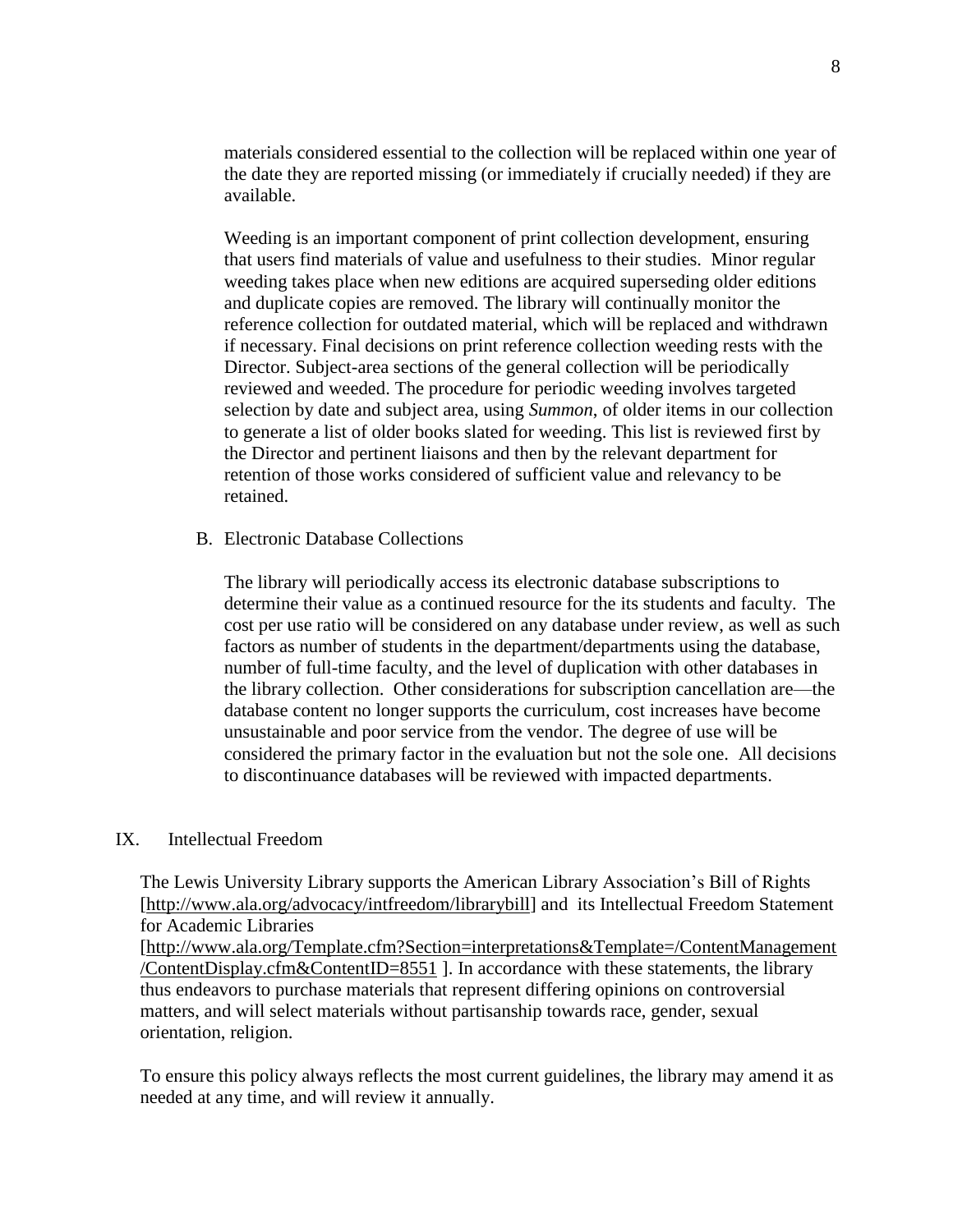materials considered essential to the collection will be replaced within one year of the date they are reported missing (or immediately if crucially needed) if they are available.

Weeding is an important component of print collection development, ensuring that users find materials of value and usefulness to their studies. Minor regular weeding takes place when new editions are acquired superseding older editions and duplicate copies are removed. The library will continually monitor the reference collection for outdated material, which will be replaced and withdrawn if necessary. Final decisions on print reference collection weeding rests with the Director. Subject-area sections of the general collection will be periodically reviewed and weeded. The procedure for periodic weeding involves targeted selection by date and subject area, using *Summon*, of older items in our collection to generate a list of older books slated for weeding. This list is reviewed first by the Director and pertinent liaisons and then by the relevant department for retention of those works considered of sufficient value and relevancy to be retained.

B. Electronic Database Collections

The library will periodically access its electronic database subscriptions to determine their value as a continued resource for the its students and faculty. The cost per use ratio will be considered on any database under review, as well as such factors as number of students in the department/departments using the database, number of full-time faculty, and the level of duplication with other databases in the library collection. Other considerations for subscription cancellation are—the database content no longer supports the curriculum, cost increases have become unsustainable and poor service from the vendor. The degree of use will be considered the primary factor in the evaluation but not the sole one. All decisions to discontinuance databases will be reviewed with impacted departments.

### IX. Intellectual Freedom

The Lewis University Library supports the American Library Association's Bill of Rights [\[http://www.ala.org/advocacy/intfreedom/librarybill\]](http://www.ala.org/advocacy/intfreedom/librarybill) and its Intellectual Freedom Statement for Academic Libraries

[\[http://www.ala.org/Template.cfm?Section=interpretations&Template=/ContentManagement](http://www.ala.org/Template.cfm?Section=interpretations&Template=/ContentManagement/ContentDisplay.cfm&ContentID=8551) [/ContentDisplay.cfm&ContentID=8551](http://www.ala.org/Template.cfm?Section=interpretations&Template=/ContentManagement/ContentDisplay.cfm&ContentID=8551) ]. In accordance with these statements, the library thus endeavors to purchase materials that represent differing opinions on controversial matters, and will select materials without partisanship towards race, gender, sexual orientation, religion.

To ensure this policy always reflects the most current guidelines, the library may amend it as needed at any time, and will review it annually.